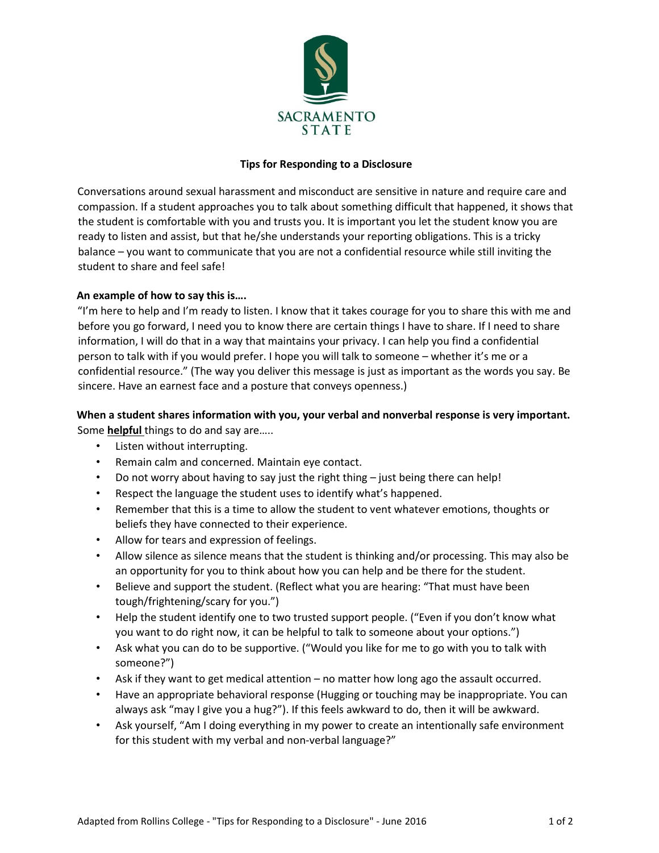

#### **Tips for Responding to a Disclosure**

Conversations around sexual harassment and misconduct are sensitive in nature and require care and compassion. If a student approaches you to talk about something difficult that happened, it shows that the student is comfortable with you and trusts you. It is important you let the student know you are ready to listen and assist, but that he/she understands your reporting obligations. This is a tricky balance – you want to communicate that you are not a confidential resource while still inviting the student to share and feel safe!

### **An example of how to say this is….**

"I'm here to help and I'm ready to listen. I know that it takes courage for you to share this with me and before you go forward, I need you to know there are certain things I have to share. If I need to share information, I will do that in a way that maintains your privacy. I can help you find a confidential person to talk with if you would prefer. I hope you will talk to someone – whether it's me or a confidential resource." (The way you deliver this message is just as important as the words you say. Be sincere. Have an earnest face and a posture that conveys openness.)

# **When a student shares information with you, your verbal and nonverbal response is very important.**  Some **helpful** things to do and say are…..

- Listen without interrupting.
- Remain calm and concerned. Maintain eye contact.
- Do not worry about having to say just the right thing  $-$  just being there can help!
- Respect the language the student uses to identify what's happened.
- Remember that this is a time to allow the student to vent whatever emotions, thoughts or beliefs they have connected to their experience.
- Allow for tears and expression of feelings.
- Allow silence as silence means that the student is thinking and/or processing. This may also be an opportunity for you to think about how you can help and be there for the student.
- Believe and support the student. (Reflect what you are hearing: "That must have been tough/frightening/scary for you.")
- Help the student identify one to two trusted support people. ("Even if you don't know what you want to do right now, it can be helpful to talk to someone about your options.")
- Ask what you can do to be supportive. ("Would you like for me to go with you to talk with someone?")
- Ask if they want to get medical attention no matter how long ago the assault occurred.
- Have an appropriate behavioral response (Hugging or touching may be inappropriate. You can always ask "may I give you a hug?"). If this feels awkward to do, then it will be awkward.
- Ask yourself, "Am I doing everything in my power to create an intentionally safe environment for this student with my verbal and non-verbal language?"